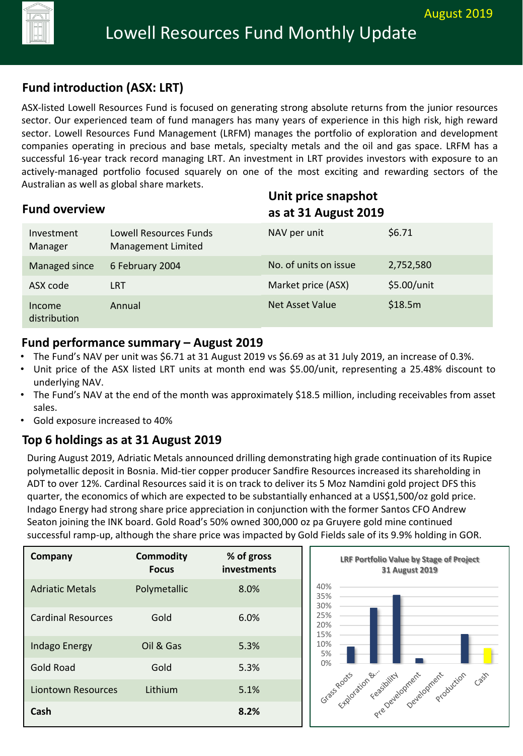## **Fund introduction (ASX: LRT)**

ASX-listed Lowell Resources Fund is focused on generating strong absolute returns from the junior resources sector. Our experienced team of fund managers has many years of experience in this high risk, high reward sector. Lowell Resources Fund Management (LRFM) manages the portfolio of exploration and development companies operating in precious and base metals, specialty metals and the oil and gas space. LRFM has a successful 16-year track record managing LRT. An investment in LRT provides investors with exposure to an actively-managed portfolio focused squarely on one of the most exciting and rewarding sectors of the Australian as well as global share markets.

| <b>Fund overview</b>   |                                                     |                        | Unit price snapshot<br>as at 31 August 2019 |  |
|------------------------|-----------------------------------------------------|------------------------|---------------------------------------------|--|
| Investment<br>Manager  | Lowell Resources Funds<br><b>Management Limited</b> | NAV per unit           | \$6.71                                      |  |
| Managed since          | 6 February 2004                                     | No. of units on issue  | 2,752,580                                   |  |
| ASX code               | <b>LRT</b>                                          | Market price (ASX)     | \$5.00/unit                                 |  |
| Income<br>distribution | Annual                                              | <b>Net Asset Value</b> | \$18.5m                                     |  |

#### **Fund performance summary – August 2019**

- The Fund's NAV per unit was \$6.71 at 31 August 2019 vs \$6.69 as at 31 July 2019, an increase of 0.3%.
- Unit price of the ASX listed LRT units at month end was \$5.00/unit, representing a 25.48% discount to underlying NAV.
- The Fund's NAV at the end of the month was approximately \$18.5 million, including receivables from asset sales.
- Gold exposure increased to 40%

## **Top 6 holdings as at 31 August 2019**

During August 2019, Adriatic Metals announced drilling demonstrating high grade continuation of its Rupice polymetallic deposit in Bosnia. Mid-tier copper producer Sandfire Resources increased its shareholding in ADT to over 12%. Cardinal Resources said it is on track to deliver its 5 Moz Namdini gold project DFS this quarter, the economics of which are expected to be substantially enhanced at a US\$1,500/oz gold price. Indago Energy had strong share price appreciation in conjunction with the former Santos CFO Andrew Seaton joining the INK board. Gold Road's 50% owned 300,000 oz pa Gruyere gold mine continued successful ramp-up, although the share price was impacted by Gold Fields sale of its 9.9% holding in GOR.

| Company                   | <b>Commodity</b><br><b>Focus</b> | % of gross<br>investments |  |
|---------------------------|----------------------------------|---------------------------|--|
| <b>Adriatic Metals</b>    | Polymetallic                     | 8.0%                      |  |
| <b>Cardinal Resources</b> | Gold                             | 6.0%                      |  |
| <b>Indago Energy</b>      | Oil & Gas                        | 5.3%                      |  |
| Gold Road                 | Gold                             | 5.3%                      |  |
| Liontown Resources        | Lithium                          | 5.1%                      |  |
| Cash                      |                                  | 8.2%                      |  |